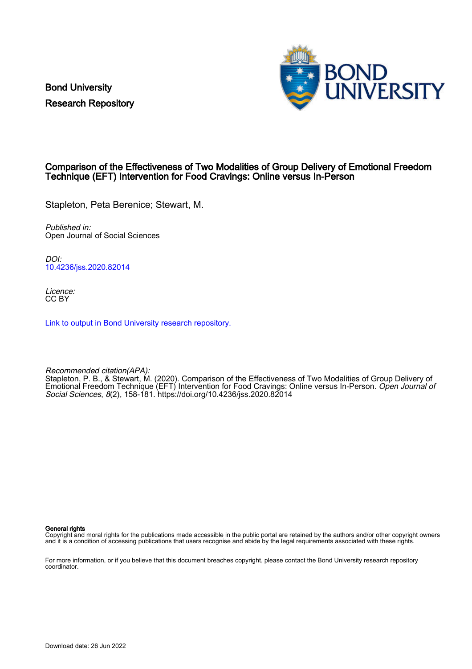Bond University Research Repository



# Comparison of the Effectiveness of Two Modalities of Group Delivery of Emotional Freedom Technique (EFT) Intervention for Food Cravings: Online versus In-Person

Stapleton, Peta Berenice; Stewart, M.

Published in: Open Journal of Social Sciences

DOI: [10.4236/jss.2020.82014](https://doi.org/10.4236/jss.2020.82014)

Licence: CC BY

[Link to output in Bond University research repository.](https://research.bond.edu.au/en/publications/0ecbbd3d-3b3f-49c1-9f6a-133582caa46e)

Recommended citation(APA): Stapleton, P. B., & Stewart, M. (2020). Comparison of the Effectiveness of Two Modalities of Group Delivery of Emotional Freedom Technique (EFT) Intervention for Food Cravings: Online versus In-Person. Open Journal of Social Sciences, 8(2), 158-181. <https://doi.org/10.4236/jss.2020.82014>

General rights

Copyright and moral rights for the publications made accessible in the public portal are retained by the authors and/or other copyright owners and it is a condition of accessing publications that users recognise and abide by the legal requirements associated with these rights.

For more information, or if you believe that this document breaches copyright, please contact the Bond University research repository coordinator.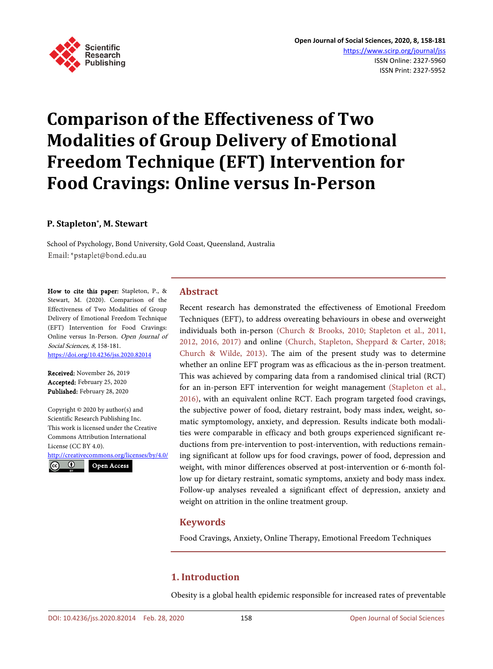

# **Comparison of the Effectiveness of Two Modalities of Group Delivery of Emotional Freedom Technique (EFT) Intervention for Food Cravings: Online versus In-Person**

## **P. Stapleton\*, M. Stewart**

School of Psychology, Bond University, Gold Coast, Queensland, Australia Email: \*pstaplet@bond.edu.au

How to cite this paper: Stapleton, P., & Stewart, M. (2020). Comparison of the Effectiveness of Two Modalities of Group Delivery of Emotional Freedom Technique (EFT) Intervention for Food Cravings: Online versus In-Person. Open Journal of Social Sciences, 8, 158-181. <https://doi.org/10.4236/jss.2020.82014>

Received: November 26, 2019 Accepted: February 25, 2020 Published: February 28, 2020

Copyright © 2020 by author(s) and Scientific Research Publishing Inc. This work is licensed under the Creative Commons Attribution International License (CC BY 4.0).

<http://creativecommons.org/licenses/by/4.0/>



# **Abstract**

Recent research has demonstrated the effectiveness of Emotional Freedom Techniques (EFT), to address overeating behaviours in obese and overweight individuals both in-person [\(Church & Brooks, 2010;](#page-21-0) [Stapleton et al., 2011,](#page-23-0) [2012,](#page-23-0) 2016, 2017) and online [\(Church, Stapleton, Sheppard & Carter, 2018;](#page-21-1)  [Church & Wilde, 2013\)](#page-21-2). The aim of the present study was to determine whether an online EFT program was as efficacious as the in-person treatment. This was achieved by comparing data from a randomised clinical trial (RCT) for an in-person EFT intervention for weight management [\(Stapleton et al.,](#page-23-1)  [2016\)](#page-23-1), with an equivalent online RCT. Each program targeted food cravings, the subjective power of food, dietary restraint, body mass index, weight, somatic symptomology, anxiety, and depression. Results indicate both modalities were comparable in efficacy and both groups experienced significant reductions from pre-intervention to post-intervention, with reductions remaining significant at follow ups for food cravings, power of food, depression and weight, with minor differences observed at post-intervention or 6-month follow up for dietary restraint, somatic symptoms, anxiety and body mass index. Follow-up analyses revealed a significant effect of depression, anxiety and weight on attrition in the online treatment group.

# **Keywords**

Food Cravings, Anxiety, Online Therapy, Emotional Freedom Techniques

# **1. Introduction**

Obesity is a global health epidemic responsible for increased rates of preventable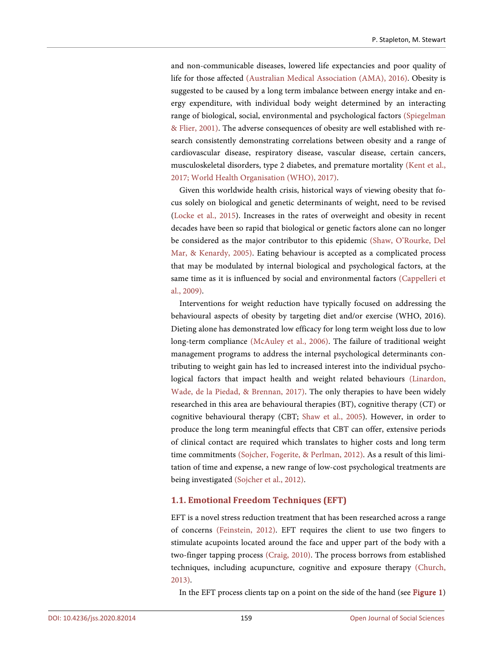and non-communicable diseases, lowered life expectancies and poor quality of life for those affected [\(Australian Medical Association \(AMA\), 2016\)](#page-20-0). Obesity is suggested to be caused by a long term imbalance between energy intake and energy expenditure, with individual body weight determined by an interacting range of biological, social, environmental and psychological factors [\(Spiegelman](#page-23-2)  [& Flier, 2001\)](#page-23-2). The adverse consequences of obesity are well established with research consistently demonstrating correlations between obesity and a range of cardiovascular disease, respiratory disease, vascular disease, certain cancers, musculoskeletal disorders, type 2 diabetes, and premature mortality [\(Kent et al.,](#page-22-0)  [2017;](#page-22-0) [World Health Organisation \(WHO\), 2017\)](#page-24-0).

Given this worldwide health crisis, historical ways of viewing obesity that focus solely on biological and genetic determinants of weight, need to be revised [\(Locke et al., 2015\)](#page-22-1). Increases in the rates of overweight and obesity in recent decades have been so rapid that biological or genetic factors alone can no longer be considered as the major contributor to this epidemic [\(Shaw, O'Rourke, Del](#page-23-3)  [Mar, & Kenardy,](#page-23-3) 2005). Eating behaviour is accepted as a complicated process that may be modulated by internal biological and psychological factors, at the same time as it is influenced by social and environmental factors [\(Cappelleri et](#page-21-3)  [al., 2009\)](#page-21-3).

Interventions for weight reduction have typically focused on addressing the behavioural aspects of obesity by targeting diet and/or exercise (WHO, 2016). Dieting alone has demonstrated low efficacy for long term weight loss due to low long-term compliance [\(McAuley et al., 2006\)](#page-22-2). The failure of traditional weight management programs to address the internal psychological determinants contributing to weight gain has led to increased interest into the individual psychological factors that impact health and weight related behaviours [\(Linardon,](#page-22-3)  [Wade, de la Piedad, & Brennan,](#page-22-3) 2017). The only therapies to have been widely researched in this area are behavioural therapies (BT), cognitive therapy (CT) or cognitive behavioural therapy (CBT; [Shaw et al., 2005\)](#page-23-3). However, in order to produce the long term meaningful effects that CBT can offer, extensive periods of clinical contact are required which translates to higher costs and long term time commitments [\(Sojcher, Fogerite, & Perlman, 2012\)](#page-23-4). As a result of this limitation of time and expense, a new range of low-cost psychological treatments are being investigated [\(Sojcher et al., 2012\)](#page-23-4).

## **1.1. Emotional Freedom Techniques (EFT)**

EFT is a novel stress reduction treatment that has been researched across a range of concerns [\(Feinstein, 2012\)](#page-21-4). EFT requires the client to use two fingers to stimulate acupoints located around the face and upper part of the body with a two-finger tapping process [\(Craig, 2010\)](#page-21-5). The process borrows from established techniques, including acupuncture, cognitive and exposure therapy [\(Church,](#page-21-6)  [2013\)](#page-21-6).

In the EFT process clients tap on a point on the side of the hand (see [Figure 1\)](#page-3-0)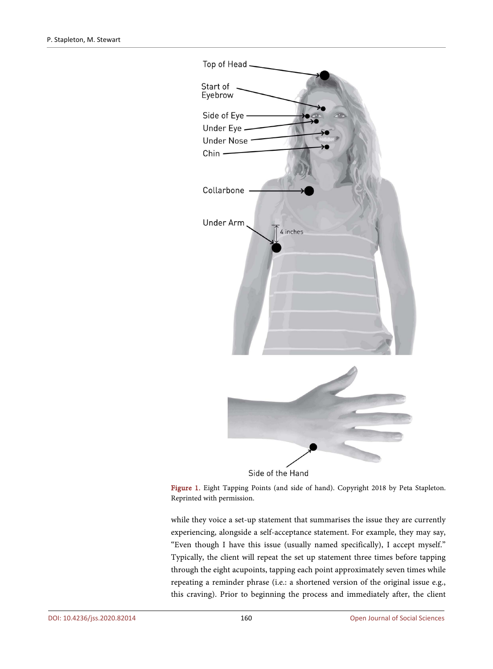<span id="page-3-0"></span>

Figure 1. Eight Tapping Points (and side of hand). Copyright 2018 by Peta Stapleton. Reprinted with permission.

while they voice a set-up statement that summarises the issue they are currently experiencing, alongside a self-acceptance statement. For example, they may say, "Even though I have this issue (usually named specifically), I accept myself." Typically, the client will repeat the set up statement three times before tapping through the eight acupoints, tapping each point approximately seven times while repeating a reminder phrase (i.e.: a shortened version of the original issue e.g., this craving). Prior to beginning the process and immediately after, the client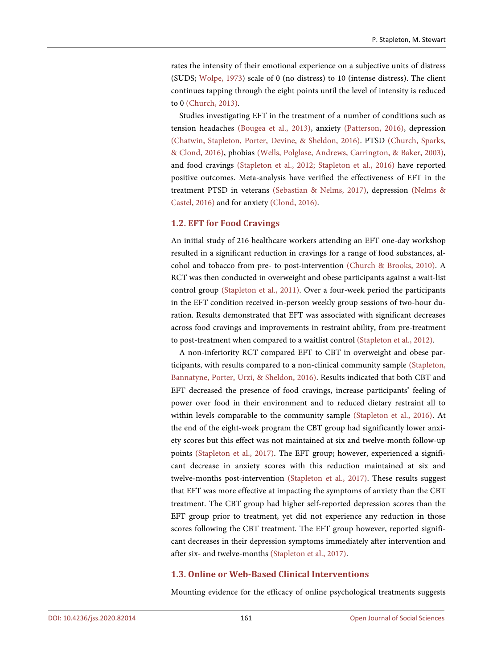rates the intensity of their emotional experience on a subjective units of distress (SUDS; [Wolpe, 1973\)](#page-24-1) scale of 0 (no distress) to 10 (intense distress). The client continues tapping through the eight points until the level of intensity is reduced to 0 [\(Church, 2013\)](#page-21-6).

Studies investigating EFT in the treatment of a number of conditions such as tension headaches [\(Bougea et al., 2013\)](#page-21-7), anxiety [\(Patterson, 2016\)](#page-23-5), depression [\(Chatwin, Stapleton, Porter, Devine, & Sheldon, 2016\)](#page-21-8). PTSD [\(Church, Sparks,](#page-21-9)  [& Clond, 2016\)](#page-21-9), phobias [\(Wells, Polglase, Andrews, Carrington, & Baker, 2003\)](#page-24-2), and food cravings [\(Stapleton et al., 2012;](#page-23-6) [Stapleton et al., 2016\)](#page-23-1) have reported positive outcomes. Meta-analysis have verified the effectiveness of EFT in the treatment PTSD in veterans [\(Sebastian & Nelms, 2017\)](#page-23-7), depression [\(Nelms &](#page-23-8)  [Castel, 2016\)](#page-23-8) and for anxiety [\(Clond, 2016\)](#page-21-10).

## **1.2. EFT for Food Cravings**

An initial study of 216 healthcare workers attending an EFT one-day workshop resulted in a significant reduction in cravings for a range of food substances, alcohol and tobacco from pre- to post-intervention [\(Church & Brooks, 2010\)](#page-21-0). A RCT was then conducted in overweight and obese participants against a wait-list control group [\(Stapleton et al., 2011\)](#page-23-0). Over a four-week period the participants in the EFT condition received in-person weekly group sessions of two-hour duration. Results demonstrated that EFT was associated with significant decreases across food cravings and improvements in restraint ability, from pre-treatment to post-treatment when compared to a waitlist control [\(Stapleton et al., 2012\)](#page-23-6).

A non-inferiority RCT compared EFT to CBT in overweight and obese participants, with results compared to a non-clinical community sample [\(Stapleton,](#page-23-1)  [Bannatyne, Porter, Urzi, & Sheldon,](#page-23-1) 2016). Results indicated that both CBT and EFT decreased the presence of food cravings, increase participants' feeling of power over food in their environment and to reduced dietary restraint all to within levels comparable to the community sample [\(Stapleton et al., 2016\)](#page-23-1). At the end of the eight-week program the CBT group had significantly lower anxiety scores but this effect was not maintained at six and twelve-month follow-up points [\(Stapleton et al., 2017\)](#page-23-9). The EFT group; however, experienced a significant decrease in anxiety scores with this reduction maintained at six and twelve-months post-intervention [\(Stapleton et al., 2017\)](#page-23-9). These results suggest that EFT was more effective at impacting the symptoms of anxiety than the CBT treatment. The CBT group had higher self-reported depression scores than the EFT group prior to treatment, yet did not experience any reduction in those scores following the CBT treatment. The EFT group however, reported significant decreases in their depression symptoms immediately after intervention and after six- and twelve-months [\(Stapleton et al., 2017\)](#page-23-9).

## **1.3. Online or Web-Based Clinical Interventions**

Mounting evidence for the efficacy of online psychological treatments suggests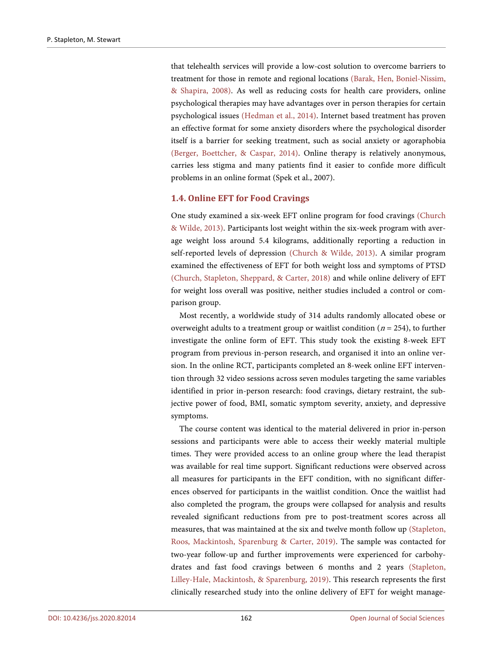that telehealth services will provide a low-cost solution to overcome barriers to treatment for those in remote and regional locations [\(Barak, Hen, Boniel-Nissim,](#page-20-1) [& Shapira, 2008\)](#page-20-1). As well as reducing costs for health care providers, online psychological therapies may have advantages over in person therapies for certain psychological issues [\(Hedman et al., 2014\)](#page-22-4). Internet based treatment has proven an effective format for some anxiety disorders where the psychological disorder itself is a barrier for seeking treatment, such as social anxiety or agoraphobia [\(Berger, Boettcher,](#page-20-2) & Caspar, 2014). Online therapy is relatively anonymous, carries less stigma and many patients find it easier to confide more difficult problems in an online format (Spek et al., 2007).

## **1.4. Online EFT for Food Cravings**

One study examined a six-week EFT online program for food cravings [\(Church](#page-21-6)  [& Wilde, 2013\)](#page-21-6). Participants lost weight within the six-week program with average weight loss around 5.4 kilograms, additionally reporting a reduction in self-reported levels of depression [\(Church & Wilde, 2013\)](#page-21-6). A similar program examined the effectiveness of EFT for both weight loss and symptoms of PTSD [\(Church, Stapleton, Sheppard,](#page-21-1) & Carter, 2018) and while online delivery of EFT for weight loss overall was positive, neither studies included a control or comparison group.

Most recently, a worldwide study of 314 adults randomly allocated obese or overweight adults to a treatment group or waitlist condition ( $n = 254$ ), to further investigate the online form of EFT. This study took the existing 8-week EFT program from previous in-person research, and organised it into an online version. In the online RCT, participants completed an 8-week online EFT intervention through 32 video sessions across seven modules targeting the same variables identified in prior in-person research: food cravings, dietary restraint, the subjective power of food, BMI, somatic symptom severity, anxiety, and depressive symptoms.

The course content was identical to the material delivered in prior in-person sessions and participants were able to access their weekly material multiple times. They were provided access to an online group where the lead therapist was available for real time support. Significant reductions were observed across all measures for participants in the EFT condition, with no significant differences observed for participants in the waitlist condition. Once the waitlist had also completed the program, the groups were collapsed for analysis and results revealed significant reductions from pre to post-treatment scores across all measures, that was maintained at the six and twelve month follow up [\(Stapleton,](#page-23-10)  [Roos, Mackintosh, Sparenburg & Carter, 2019\)](#page-23-10). The sample was contacted for two-year follow-up and further improvements were experienced for carbohydrates and fast food cravings between 6 months and 2 years [\(Stapleton,](#page-23-10)  [Lilley-Hale, Mackintosh,](#page-23-10) & Sparenburg, 2019). This research represents the first clinically researched study into the online delivery of EFT for weight manage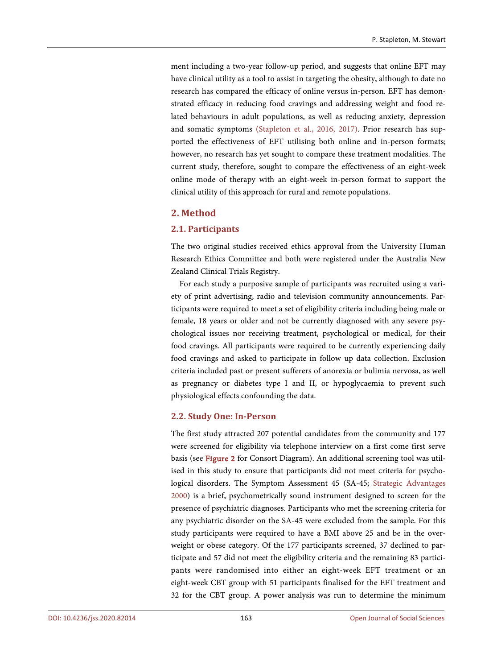ment including a two-year follow-up period, and suggests that online EFT may have clinical utility as a tool to assist in targeting the obesity, although to date no research has compared the efficacy of online versus in-person. EFT has demonstrated efficacy in reducing food cravings and addressing weight and food related behaviours in adult populations, as well as reducing anxiety, depression and somatic symptoms [\(Stapleton et al., 2016,](#page-23-1) 2017). Prior research has supported the effectiveness of EFT utilising both online and in-person formats; however, no research has yet sought to compare these treatment modalities. The current study, therefore, sought to compare the effectiveness of an eight-week online mode of therapy with an eight-week in-person format to support the clinical utility of this approach for rural and remote populations.

# **2. Method**

## **2.1. Participants**

The two original studies received ethics approval from the University Human Research Ethics Committee and both were registered under the Australia New Zealand Clinical Trials Registry.

For each study a purposive sample of participants was recruited using a variety of print advertising, radio and television community announcements. Participants were required to meet a set of eligibility criteria including being male or female, 18 years or older and not be currently diagnosed with any severe psychological issues nor receiving treatment, psychological or medical, for their food cravings. All participants were required to be currently experiencing daily food cravings and asked to participate in follow up data collection. Exclusion criteria included past or present sufferers of anorexia or bulimia nervosa, as well as pregnancy or diabetes type I and II, or hypoglycaemia to prevent such physiological effects confounding the data.

# **2.2. Study One: In-Person**

The first study attracted 207 potential candidates from the community and 177 were screened for eligibility via telephone interview on a first come first serve basis (see [Figure 2](#page-7-0) for Consort Diagram). An additional screening tool was utilised in this study to ensure that participants did not meet criteria for psychological disorders. The Symptom Assessment 45 (SA-45; [Strategic Advantages](#page-24-3)  [2000\)](#page-24-3) is a brief, psychometrically sound instrument designed to screen for the presence of psychiatric diagnoses. Participants who met the screening criteria for any psychiatric disorder on the SA-45 were excluded from the sample. For this study participants were required to have a BMI above 25 and be in the overweight or obese category. Of the 177 participants screened, 37 declined to participate and 57 did not meet the eligibility criteria and the remaining 83 participants were randomised into either an eight-week EFT treatment or an eight-week CBT group with 51 participants finalised for the EFT treatment and 32 for the CBT group. A power analysis was run to determine the minimum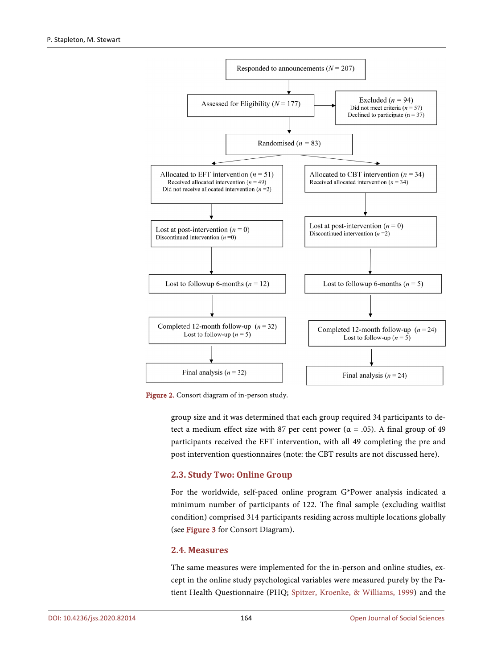<span id="page-7-0"></span>

Figure 2. Consort diagram of in-person study.

group size and it was determined that each group required 34 participants to detect a medium effect size with 87 per cent power ( $\alpha = .05$ ). A final group of 49 participants received the EFT intervention, with all 49 completing the pre and post intervention questionnaires (note: the CBT results are not discussed here).

# **2.3. Study Two: Online Group**

For the worldwide, self-paced online program G\*Power analysis indicated a minimum number of participants of 122. The final sample (excluding waitlist condition) comprised 314 participants residing across multiple locations globally (see [Figure 3](#page-8-0) for Consort Diagram).

## **2.4. Measures**

The same measures were implemented for the in-person and online studies, except in the online study psychological variables were measured purely by the Patient Health Questionnaire (PHQ; Spitzer, Kroenke, [& Williams, 1999\)](#page-23-11) and the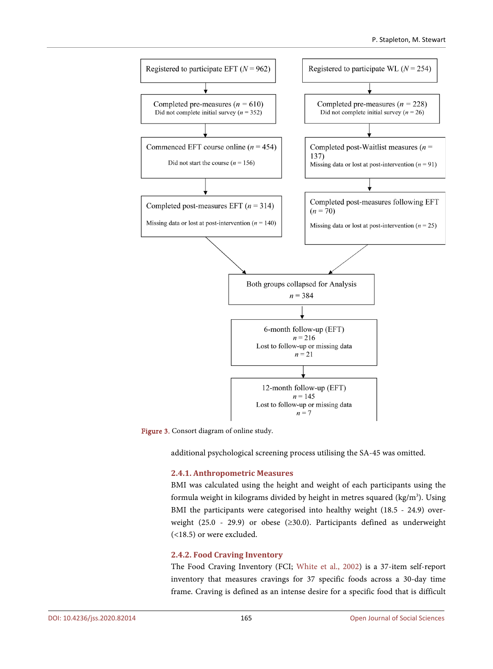<span id="page-8-0"></span>

Figure 3. Consort diagram of online study.

additional psychological screening process utilising the SA-45 was omitted.

## **2.4.1. Anthropometric Measures**

BMI was calculated using the height and weight of each participants using the formula weight in kilograms divided by height in metres squared (kg/m<sup>3</sup>). Using BMI the participants were categorised into healthy weight (18.5 - 24.9) overweight (25.0 - 29.9) or obese (≥30.0). Participants defined as underweight (<18.5) or were excluded.

## **2.4.2. Food Craving Inventory**

The Food Craving Inventory (FCI; [White et al., 2002\)](#page-24-4) is a 37-item self-report inventory that measures cravings for 37 specific foods across a 30-day time frame. Craving is defined as an intense desire for a specific food that is difficult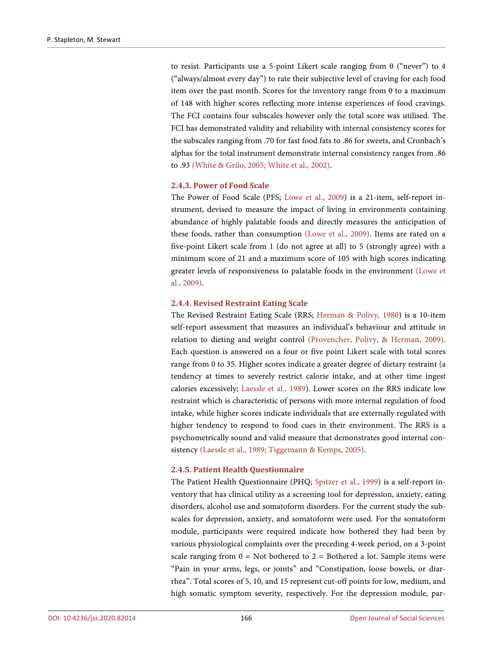to resist. Participants use a 5-point Likert scale ranging from 0 ("never") to 4 ("always/almost every day") to rate their subjective level of craving for each food item over the past month. Scores for the inventory range from 0 to a maximum of 148 with higher scores reflecting more intense experiences of food cravings. The FCI contains four subscales however only the total score was utilised. The FCI has demonstrated validity and reliability with internal consistency scores for the subscales ranging from .70 for fast food fats to .86 for sweets, and Cronbach's alphas for the total instrument demonstrate internal consistency ranges from .86 to .93 [\(White & Grilo, 2005;](#page-24-5) [White et al., 2002\)](#page-24-4).

## **2.4.3. Power of Food Scale**

The Power of Food Scale (PFS; [Lowe et al., 2009\)](#page-22-5) is a 21-item, self-report instrument, devised to measure the impact of living in environments containing abundance of highly palatable foods and directly measures the anticipation of these foods, rather than consumption [\(Lowe et al.,](#page-22-5) 2009). Items are rated on a five-point Likert scale from 1 (do not agree at all) to 5 (strongly agree) with a minimum score of 21 and a maximum score of 105 with high scores indicating greater levels of responsiveness to palatable foods in the environment [\(Lowe et](#page-22-5)  [al., 2009\)](#page-22-5).

#### **2.4.4. Revised Restraint Eating Scale**

The Revised Restraint Eating Scale (RRS; [Herman & Polivy, 1980\)](#page-22-6) is a 10-item self-report assessment that measures an individual's behaviour and attitude in relation to dieting and weight control [\(Provencher, Polivy,](#page-23-12) & Herman, 2009). Each question is answered on a four or five point Likert scale with total scores range from 0 to 35. Higher scores indicate a greater degree of dietary restraint (a tendency at times to severely restrict calorie intake, and at other time ingest calories excessively; [Laessle et al., 1989\)](#page-22-7). Lower scores on the RRS indicate low restraint which is characteristic of persons with more internal regulation of food intake, while higher scores indicate individuals that are externally regulated with higher tendency to respond to food cues in their environment. The RRS is a psychometrically sound and valid measure that demonstrates good internal consistency [\(Laessle et al., 1989;](#page-22-7) Tiggemann [& Kemps, 2005\)](#page-24-6).

## **2.4.5. Patient Health Questionnaire**

The Patient Health Questionnaire (PHQ; [Spitzer et al., 1999\)](#page-23-11) is a self-report inventory that has clinical utility as a screening tool for depression, anxiety, eating disorders, alcohol use and somatoform disorders. For the current study the subscales for depression, anxiety, and somatoform were used. For the somatoform module, participants were required indicate how bothered they had been by various physiological complaints over the preceding 4-week period, on a 3-point scale ranging from  $0 = Not$  bothered to  $2 = Bothered$  a lot. Sample items were "Pain in your arms, legs, or joints" and "Constipation, loose bowels, or diarrhea". Total scores of 5, 10, and 15 represent cut-off points for low, medium, and high somatic symptom severity, respectively. For the depression module, par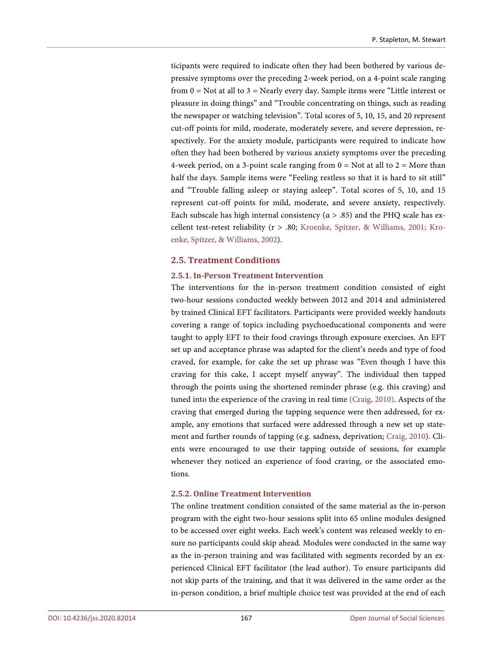ticipants were required to indicate often they had been bothered by various depressive symptoms over the preceding 2-week period, on a 4-point scale ranging from  $0 = Not$  at all to  $3 = Nearly$  every day. Sample items were "Little interest or pleasure in doing things" and "Trouble concentrating on things, such as reading the newspaper or watching television". Total scores of 5, 10, 15, and 20 represent cut-off points for mild, moderate, moderately severe, and severe depression, respectively. For the anxiety module, participants were required to indicate how often they had been bothered by various anxiety symptoms over the preceding 4-week period, on a 3-point scale ranging from  $0 = Not$  at all to  $2 = More$  than half the days. Sample items were "Feeling restless so that it is hard to sit still" and "Trouble falling asleep or staying asleep". Total scores of 5, 10, and 15 represent cut-off points for mild, moderate, and severe anxiety, respectively. Each subscale has high internal consistency ( $\alpha$  > .85) and the PHQ scale has excellent test-retest reliability (r > .80; Kroenke, Spitzer, [& Williams, 2001;](#page-22-8) [Kro](#page-22-9)enke, Spitzer, [& Williams, 2002\)](#page-22-9).

## **2.5. Treatment Conditions**

## **2.5.1. In-Person Treatment Intervention**

The interventions for the in-person treatment condition consisted of eight two-hour sessions conducted weekly between 2012 and 2014 and administered by trained Clinical EFT facilitators. Participants were provided weekly handouts covering a range of topics including psychoeducational components and were taught to apply EFT to their food cravings through exposure exercises. An EFT set up and acceptance phrase was adapted for the client's needs and type of food craved, for example, for cake the set up phrase was "Even though I have this craving for this cake, I accept myself anyway". The individual then tapped through the points using the shortened reminder phrase (e.g. this craving) and tuned into the experience of the craving in real time [\(Craig, 2010\)](#page-21-5). Aspects of the craving that emerged during the tapping sequence were then addressed, for example, any emotions that surfaced were addressed through a new set up statement and further rounds of tapping (e.g. sadness, deprivation; [Craig, 2010\)](#page-21-5). Clients were encouraged to use their tapping outside of sessions, for example whenever they noticed an experience of food craving, or the associated emotions.

## **2.5.2. Online Treatment Intervention**

The online treatment condition consisted of the same material as the in-person program with the eight two-hour sessions split into 65 online modules designed to be accessed over eight weeks. Each week's content was released weekly to ensure no participants could skip ahead. Modules were conducted in the same way as the in-person training and was facilitated with segments recorded by an experienced Clinical EFT facilitator (the lead author). To ensure participants did not skip parts of the training, and that it was delivered in the same order as the in-person condition, a brief multiple choice test was provided at the end of each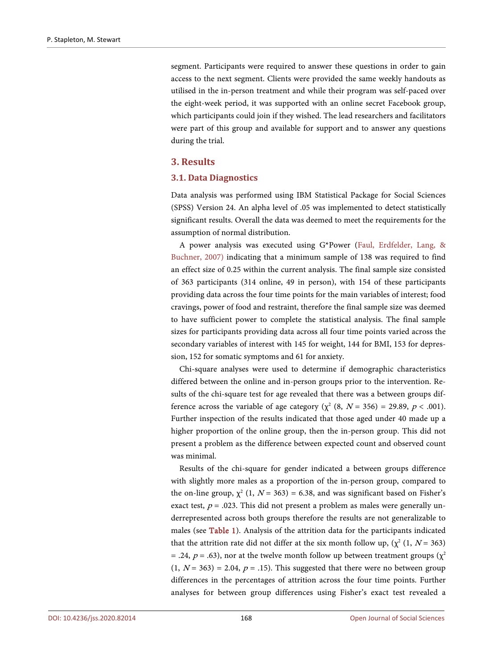segment. Participants were required to answer these questions in order to gain access to the next segment. Clients were provided the same weekly handouts as utilised in the in-person treatment and while their program was self-paced over the eight-week period, it was supported with an online secret Facebook group, which participants could join if they wished. The lead researchers and facilitators were part of this group and available for support and to answer any questions during the trial.

## **3. Results**

#### **3.1. Data Diagnostics**

Data analysis was performed using IBM Statistical Package for Social Sciences (SPSS) Version 24. An alpha level of .05 was implemented to detect statistically significant results. Overall the data was deemed to meet the requirements for the assumption of normal distribution.

A power analysis was executed using G\*Power [\(Faul, Erdfelder, Lang, &](#page-21-11)  [Buchner, 2007\)](#page-21-11) indicating that a minimum sample of 138 was required to find an effect size of 0.25 within the current analysis. The final sample size consisted of 363 participants (314 online, 49 in person), with 154 of these participants providing data across the four time points for the main variables of interest; food cravings, power of food and restraint, therefore the final sample size was deemed to have sufficient power to complete the statistical analysis. The final sample sizes for participants providing data across all four time points varied across the secondary variables of interest with 145 for weight, 144 for BMI, 153 for depression, 152 for somatic symptoms and 61 for anxiety.

Chi-square analyses were used to determine if demographic characteristics differed between the online and in-person groups prior to the intervention. Results of the chi-square test for age revealed that there was a between groups difference across the variable of age category ( $\chi^2$  (8,  $N = 356$ ) = 29.89,  $p < .001$ ). Further inspection of the results indicated that those aged under 40 made up a higher proportion of the online group, then the in-person group. This did not present a problem as the difference between expected count and observed count was minimal.

Results of the chi-square for gender indicated a between groups difference with slightly more males as a proportion of the in-person group, compared to the on-line group,  $\chi^2$  (1,  $N = 363$ ) = 6.38, and was significant based on Fisher's exact test,  $p = .023$ . This did not present a problem as males were generally underrepresented across both groups therefore the results are not generalizable to males (see [Table 1\)](#page-12-0). Analysis of the attrition data for the participants indicated that the attrition rate did not differ at the six month follow up,  $(\chi^2 (1, N = 363))$ = .24,  $p = .63$ ), nor at the twelve month follow up between treatment groups ( $\chi^2$  $(1, N = 363) = 2.04$ ,  $p = .15$ ). This suggested that there were no between group differences in the percentages of attrition across the four time points. Further analyses for between group differences using Fisher's exact test revealed a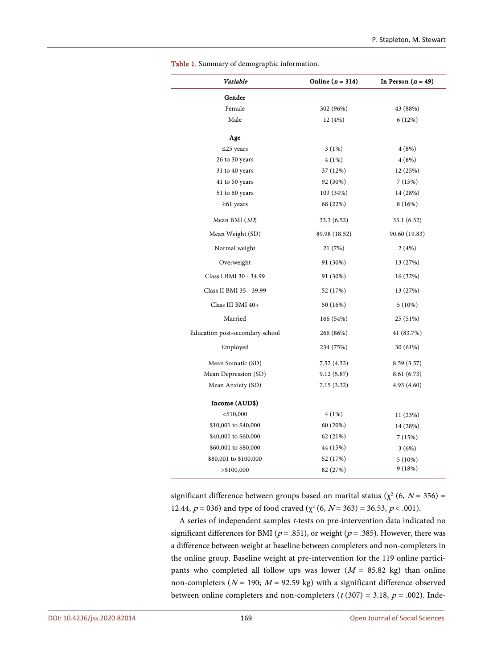| Variable                        | Online $(n = 314)$ | In Person $(n = 49)$ |  |  |  |
|---------------------------------|--------------------|----------------------|--|--|--|
| Gender                          |                    |                      |  |  |  |
| Female                          | 302 (96%)          | 43 (88%)             |  |  |  |
| Male                            | 12 (4%)            | 6(12%)               |  |  |  |
| Age                             |                    |                      |  |  |  |
| $\leq$ 25 years                 | $3(1\%)$           | 4(8%)                |  |  |  |
| 26 to 30 years                  | 4(1%)              | 4(8%)                |  |  |  |
| 31 to 40 years                  | 37 (12%)           | 12 (25%)             |  |  |  |
| 41 to 50 years                  | 92 (30%)           | 7(15%)               |  |  |  |
| 51 to 60 years                  | 103 (34%)          | 14 (28%)             |  |  |  |
| $\geq 61$ years                 | 68 (22%)           | 8(16%)               |  |  |  |
| Mean BMI (SD)                   | 33.3(6.52)         | 33.1(6.52)           |  |  |  |
| Mean Weight (SD)                | 89.98 (18.52)      | 90.60 (19.83)        |  |  |  |
| Normal weight                   | 21 (7%)            | 2(4%)                |  |  |  |
| Overweight                      | 91 (30%)           | 13 (27%)             |  |  |  |
| Class I BMI 30 - 34.99          | 91 (30%)           | 16 (32%)             |  |  |  |
| Class II BMI 35 - 39.99         | 52 (17%)           | 13 (27%)             |  |  |  |
| Class III BMI 40+               | 50 (16%)           | 5(10%)               |  |  |  |
| Married                         | 166 (54%)          | 25 (51%)             |  |  |  |
| Education post-secondary school | 266 (86%)          | 41 (83.7%)           |  |  |  |
| Employed                        | 234 (75%)          | 30 (61%)             |  |  |  |
| Mean Somatic (SD)               | 7.52(4.32)         | 8.59(3.57)           |  |  |  |
| Mean Depression (SD)            | 9.12(5.87)         | 8.61(6.73)           |  |  |  |
| Mean Anxiety (SD)               | 7.15(3.32)         | 4.93(4.60)           |  |  |  |
| Income (AUD\$)                  |                    |                      |  |  |  |
| $<$ \$10,000                    | $4(1\%)$           | 11(23%)              |  |  |  |
| \$10,001 to \$40,000            | 60 (20%)           | 14 (28%)             |  |  |  |
| \$40,001 to \$60,000            | 62 (21%)           | 7(15%)               |  |  |  |
| \$60,001 to \$80,000            | 44 (15%)           | 3(6%)                |  |  |  |
| \$80,001 to \$100,000           | 52 (17%)           | $5(10\%)$            |  |  |  |
| $>$ \$100,000                   | 82 (27%)           | 9(18%)               |  |  |  |

<span id="page-12-0"></span>Table 1. Summary of demographic information.

significant difference between groups based on marital status ( $\chi^2$  (6,  $N = 356$ ) = 12.44,  $p = 036$ ) and type of food craved ( $\chi^2$  (6,  $N = 363$ ) = 36.53,  $p < .001$ ).

A series of independent samples t-tests on pre-intervention data indicated no significant differences for BMI ( $p = .851$ ), or weight ( $p = .385$ ). However, there was a difference between weight at baseline between completers and non-completers in the online group. Baseline weight at pre-intervention for the 119 online participants who completed all follow ups was lower  $(M = 85.82 \text{ kg})$  than online non-completers ( $N = 190$ ;  $M = 92.59$  kg) with a significant difference observed between online completers and non-completers ( $t$  (307) = 3.18,  $p$  = .002). Inde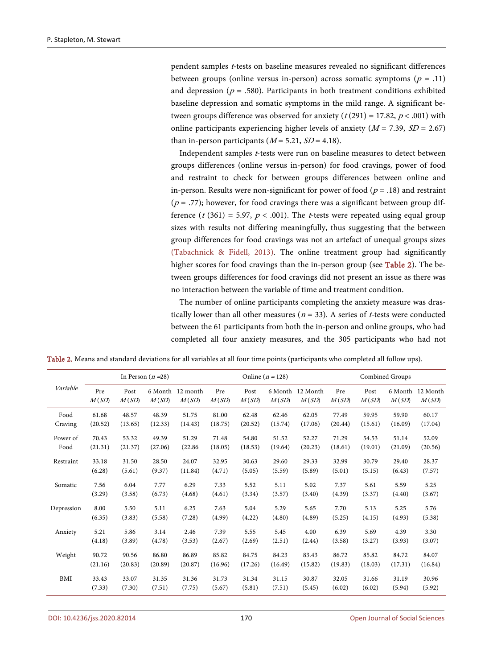pendent samples <sup>t</sup>-tests on baseline measures revealed no significant differences between groups (online versus in-person) across somatic symptoms ( $p = .11$ ) and depression ( $p = .580$ ). Participants in both treatment conditions exhibited baseline depression and somatic symptoms in the mild range. A significant between groups difference was observed for anxiety ( $t$  (291) = 17.82,  $p$  < .001) with online participants experiencing higher levels of anxiety ( $M = 7.39$ ,  $SD = 2.67$ ) than in-person participants  $(M = 5.21, SD = 4.18)$ .

Independent samples <sup>t</sup>-tests were run on baseline measures to detect between groups differences (online versus in-person) for food cravings, power of food and restraint to check for between groups differences between online and in-person. Results were non-significant for power of food ( $p = .18$ ) and restraint  $(p = .77)$ ; however, for food cravings there was a significant between group difference (t (361) = 5.97,  $p < .001$ ). The t-tests were repeated using equal group sizes with results not differing meaningfully, thus suggesting that the between group differences for food cravings was not an artefact of unequal groups sizes (Tabachnick [& Fidell, 2013\)](#page-24-7). The online treatment group had significantly higher scores for food cravings than the in-person group (see [Table 2\)](#page-13-0). The between groups differences for food cravings did not present an issue as there was no interaction between the variable of time and treatment condition.

The number of online participants completing the anxiety measure was drastically lower than all other measures ( $n = 33$ ). A series of *t*-tests were conducted between the 61 participants from both the in-person and online groups, who had completed all four anxiety measures, and the 305 participants who had not

<span id="page-13-0"></span>Table 2. Means and standard deviations for all variables at all four time points (participants who completed all follow ups).

|            | In Person $(n=28)$ |               |                  |                   | Online ( $n = 128$ ) |               |                  |                   | Combined Groups |               |                  |                   |
|------------|--------------------|---------------|------------------|-------------------|----------------------|---------------|------------------|-------------------|-----------------|---------------|------------------|-------------------|
| Variable   | Pre<br>M(SD)       | Post<br>M(SD) | 6 Month<br>M(SD) | 12 month<br>M(SD) | Pre<br>M(SD)         | Post<br>M(SD) | 6 Month<br>M(SD) | 12 Month<br>M(SD) | Pre<br>M(SD)    | Post<br>M(SD) | 6 Month<br>M(SD) | 12 Month<br>M(SD) |
| Food       | 61.68              | 48.57         | 48.39            | 51.75             | 81.00                | 62.48         | 62.46            | 62.05             | 77.49           | 59.95         | 59.90            | 60.17             |
| Craving    | (20.52)            | (13.65)       | (12.33)          | (14.43)           | (18.75)              | (20.52)       | (15.74)          | (17.06)           | (20.44)         | (15.61)       | (16.09)          | (17.04)           |
| Power of   | 70.43              | 53.32         | 49.39            | 51.29             | 71.48                | 54.80         | 51.52            | 52.27             | 71.29           | 54.53         | 51.14            | 52.09             |
| Food       | (21.31)            | (21.37)       | (27.06)          | (22.86)           | (18.05)              | (18.53)       | (19.64)          | (20.23)           | (18.61)         | (19.01)       | (21.09)          | (20.56)           |
| Restraint  | 33.18              | 31.50         | 28.50            | 24.07             | 32.95                | 30.63         | 29.60            | 29.33             | 32.99           | 30.79         | 29.40            | 28.37             |
|            | (6.28)             | (5.61)        | (9.37)           | (11.84)           | (4.71)               | (5.05)        | (5.59)           | (5.89)            | (5.01)          | (5.15)        | (6.43)           | (7.57)            |
| Somatic    | 7.56               | 6.04          | 7.77             | 6.29              | 7.33                 | 5.52          | 5.11             | 5.02              | 7.37            | 5.61          | 5.59             | 5.25              |
|            | (3.29)             | (3.58)        | (6.73)           | (4.68)            | (4.61)               | (3.34)        | (3.57)           | (3.40)            | (4.39)          | (3.37)        | (4.40)           | (3.67)            |
| Depression | 8.00               | 5.50          | 5.11             | 6.25              | 7.63                 | 5.04          | 5.29             | 5.65              | 7.70            | 5.13          | 5.25             | 5.76              |
|            | (6.35)             | (3.83)        | (5.58)           | (7.28)            | (4.99)               | (4.22)        | (4.80)           | (4.89)            | (5.25)          | (4.15)        | (4.93)           | (5.38)            |
| Anxiety    | 5.21               | 5.86          | 3.14             | 2.46              | 7.39                 | 5.55          | 5.45             | 4.00              | 6.39            | 5.69          | 4.39             | 3.30              |
|            | (4.18)             | (3.89)        | (4.78)           | (3.53)            | (2.67)               | (2.69)        | (2.51)           | (2.44)            | (3.58)          | (3.27)        | (3.93)           | (3.07)            |
| Weight     | 90.72              | 90.56         | 86.80            | 86.89             | 85.82                | 84.75         | 84.23            | 83.43             | 86.72           | 85.82         | 84.72            | 84.07             |
|            | (21.16)            | (20.83)       | (20.89)          | (20.87)           | (16.96)              | (17.26)       | (16.49)          | (15.82)           | (19.83)         | (18.03)       | (17.31)          | (16.84)           |
| BMI        | 33.43              | 33.07         | 31.35            | 31.36             | 31.73                | 31.34         | 31.15            | 30.87             | 32.05           | 31.66         | 31.19            | 30.96             |
|            | (7.33)             | (7.30)        | (7.51)           | (7.75)            | (5.67)               | (5.81)        | (7.51)           | (5.45)            | (6.02)          | (6.02)        | (5.94)           | (5.92)            |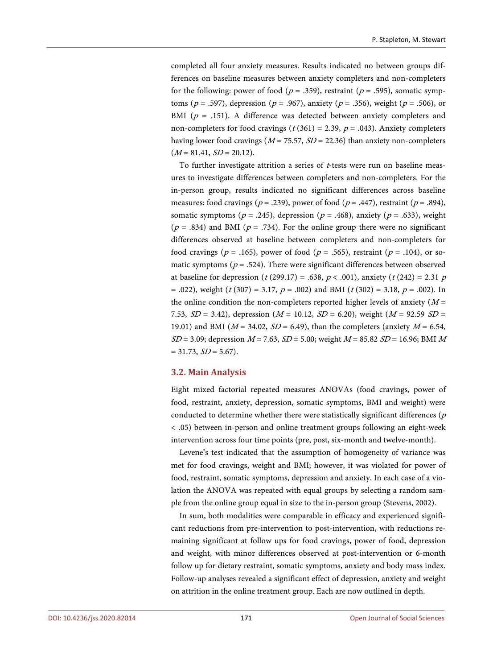completed all four anxiety measures. Results indicated no between groups differences on baseline measures between anxiety completers and non-completers for the following: power of food ( $p = .359$ ), restraint ( $p = .595$ ), somatic symptoms ( $p = .597$ ), depression ( $p = .967$ ), anxiety ( $p = .356$ ), weight ( $p = .506$ ), or BMI ( $p = .151$ ). A difference was detected between anxiety completers and non-completers for food cravings ( $t$  (361) = 2.39,  $p$  = .043). Anxiety completers having lower food cravings ( $M = 75.57$ ,  $SD = 22.36$ ) than anxiety non-completers  $(M = 81.41, SD = 20.12).$ 

To further investigate attrition a series of <sup>t</sup>-tests were run on baseline measures to investigate differences between completers and non-completers. For the in-person group, results indicated no significant differences across baseline measures: food cravings ( $p = .239$ ), power of food ( $p = .447$ ), restraint ( $p = .894$ ), somatic symptoms ( $p = .245$ ), depression ( $p = .468$ ), anxiety ( $p = .633$ ), weight  $(p = .834)$  and BMI ( $p = .734$ ). For the online group there were no significant differences observed at baseline between completers and non-completers for food cravings ( $p = .165$ ), power of food ( $p = .565$ ), restraint ( $p = .104$ ), or somatic symptoms ( $p = .524$ ). There were significant differences between observed at baseline for depression (t (299.17) = .638,  $p < .001$ ), anxiety (t (242) = 2.31 p = .022), weight ( $t$  (307) = 3.17,  $p$  = .002) and BMI ( $t$  (302) = 3.18,  $p$  = .002). In the online condition the non-completers reported higher levels of anxiety  $(M =$ 7.53,  $SD = 3.42$ ), depression ( $M = 10.12$ ,  $SD = 6.20$ ), weight ( $M = 92.59$   $SD =$ 19.01) and BMI ( $M = 34.02$ ,  $SD = 6.49$ ), than the completers (anxiety  $M = 6.54$ ,  $SD = 3.09$ ; depression  $M = 7.63$ ,  $SD = 5.00$ ; weight  $M = 85.82$   $SD = 16.96$ ; BMI M  $= 31.73, SD = 5.67$ ).

## **3.2. Main Analysis**

Eight mixed factorial repeated measures ANOVAs (food cravings, power of food, restraint, anxiety, depression, somatic symptoms, BMI and weight) were conducted to determine whether there were statistically significant differences ( $p$ ) < .05) between in-person and online treatment groups following an eight-week intervention across four time points (pre, post, six-month and twelve-month).

Levene's test indicated that the assumption of homogeneity of variance was met for food cravings, weight and BMI; however, it was violated for power of food, restraint, somatic symptoms, depression and anxiety. In each case of a violation the ANOVA was repeated with equal groups by selecting a random sample from the online group equal in size to the in-person group (Stevens, 2002).

In sum, both modalities were comparable in efficacy and experienced significant reductions from pre-intervention to post-intervention, with reductions remaining significant at follow ups for food cravings, power of food, depression and weight, with minor differences observed at post-intervention or 6-month follow up for dietary restraint, somatic symptoms, anxiety and body mass index. Follow-up analyses revealed a significant effect of depression, anxiety and weight on attrition in the online treatment group. Each are now outlined in depth.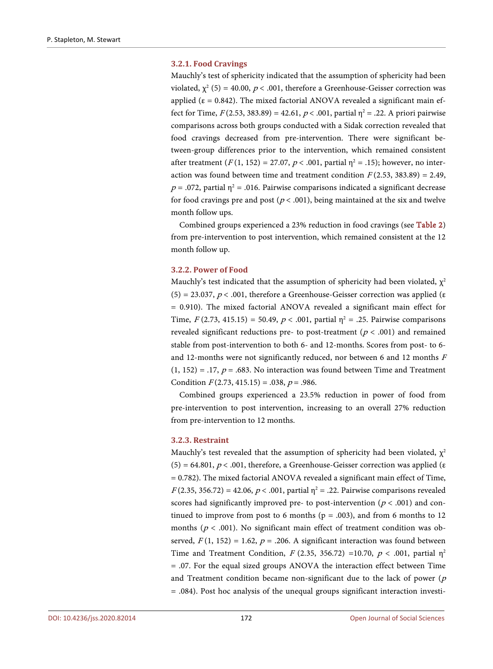#### **3.2.1. Food Cravings**

Mauchly's test of sphericity indicated that the assumption of sphericity had been violated,  $\chi^2$  (5) = 40.00,  $p < .001$ , therefore a Greenhouse-Geisser correction was applied ( $\epsilon = 0.842$ ). The mixed factorial ANOVA revealed a significant main effect for Time,  $F(2.53, 383.89) = 42.61, p < .001$ , partial  $\eta^2 = .22$ . A priori pairwise comparisons across both groups conducted with a Sidak correction revealed that food cravings decreased from pre-intervention. There were significant between-group differences prior to the intervention, which remained consistent after treatment  $(F(1, 152) = 27.07, p < .001$ , partial  $\eta^2 = .15$ ); however, no interaction was found between time and treatment condition  $F(2.53, 383.89) = 2.49$ ,  $p = .072$ , partial  $\eta^2 = .016$ . Pairwise comparisons indicated a significant decrease for food cravings pre and post ( $p < .001$ ), being maintained at the six and twelve month follow ups.

Combined groups experienced a 23% reduction in food cravings (see [Table 2\)](#page-13-0) from pre-intervention to post intervention, which remained consistent at the 12 month follow up.

#### **3.2.2. Power of Food**

Mauchly's test indicated that the assumption of sphericity had been violated,  $\chi^2$ (5) = 23.037,  $p < .001$ , therefore a Greenhouse-Geisser correction was applied (ε = 0.910). The mixed factorial ANOVA revealed a significant main effect for Time,  $F(2.73, 415.15) = 50.49, p < .001$ , partial  $\eta^2 = .25$ . Pairwise comparisons revealed significant reductions pre- to post-treatment ( $p < .001$ ) and remained stable from post-intervention to both 6- and 12-months. Scores from post- to 6 and 12-months were not significantly reduced, nor between 6 and 12 months  $F$  $(1, 152) = .17$ ,  $p = .683$ . No interaction was found between Time and Treatment Condition  $F(2.73, 415.15) = .038$ ,  $p = .986$ .

Combined groups experienced a 23.5% reduction in power of food from pre-intervention to post intervention, increasing to an overall 27% reduction from pre-intervention to 12 months.

## **3.2.3. Restraint**

Mauchly's test revealed that the assumption of sphericity had been violated,  $\chi^2$ (5) = 64.801,  $p < .001$ , therefore, a Greenhouse-Geisser correction was applied (ε = 0.782). The mixed factorial ANOVA revealed a significant main effect of Time,  $F(2.35, 356.72) = 42.06, p < .001$ , partial  $\eta^2 = .22$ . Pairwise comparisons revealed scores had significantly improved pre- to post-intervention ( $p < .001$ ) and continued to improve from post to 6 months ( $p = .003$ ), and from 6 months to 12 months ( $p < .001$ ). No significant main effect of treatment condition was observed,  $F(1, 152) = 1.62$ ,  $p = .206$ . A significant interaction was found between Time and Treatment Condition,  $F(2.35, 356.72) =10.70, p < .001$ , partial  $\eta^2$ = .07. For the equal sized groups ANOVA the interaction effect between Time and Treatment condition became non-significant due to the lack of power  $(p)$ = .084). Post hoc analysis of the unequal groups significant interaction investi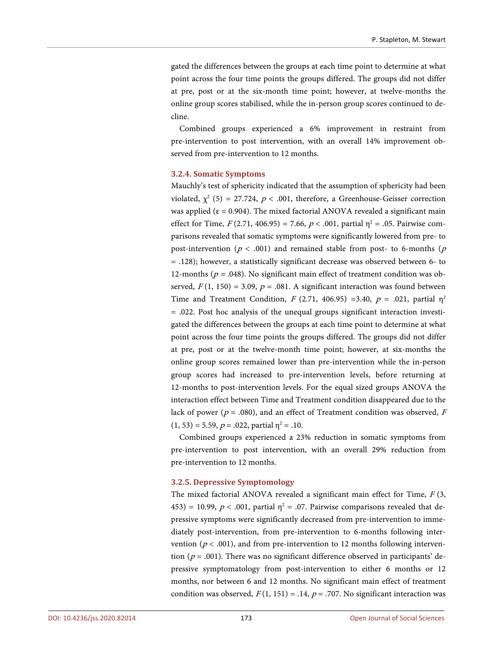gated the differences between the groups at each time point to determine at what point across the four time points the groups differed. The groups did not differ at pre, post or at the six-month time point; however, at twelve-months the online group scores stabilised, while the in-person group scores continued to decline.

Combined groups experienced a 6% improvement in restraint from pre-intervention to post intervention, with an overall 14% improvement observed from pre-intervention to 12 months.

## **3.2.4. Somatic Symptoms**

Mauchly's test of sphericity indicated that the assumption of sphericity had been violated,  $\chi^2$  (5) = 27.724,  $p < .001$ , therefore, a Greenhouse-Geisser correction was applied ( $\varepsilon$  = 0.904). The mixed factorial ANOVA revealed a significant main effect for Time,  $F(2.71, 406.95) = 7.66$ ,  $p < .001$ , partial  $\eta^2 = .05$ . Pairwise comparisons revealed that somatic symptoms were significantly lowered from pre- to post-intervention ( $p < .001$ ) and remained stable from post- to 6-months ( $p$ ) = .128); however, a statistically significant decrease was observed between 6- to 12-months ( $p = .048$ ). No significant main effect of treatment condition was observed,  $F(1, 150) = 3.09$ ,  $p = .081$ . A significant interaction was found between Time and Treatment Condition,  $F(2.71, 406.95) = 3.40$ ,  $p = .021$ , partial  $\eta^2$ = .022. Post hoc analysis of the unequal groups significant interaction investigated the differences between the groups at each time point to determine at what point across the four time points the groups differed. The groups did not differ at pre, post or at the twelve-month time point; however, at six-months the online group scores remained lower than pre-intervention while the in-person group scores had increased to pre-intervention levels, before returning at 12-months to post-intervention levels. For the equal sized groups ANOVA the interaction effect between Time and Treatment condition disappeared due to the lack of power ( $p = .080$ ), and an effect of Treatment condition was observed, F  $(1, 53) = 5.59$ ,  $p = .022$ , partial  $n^2 = .10$ .

Combined groups experienced a 23% reduction in somatic symptoms from pre-intervention to post intervention, with an overall 29% reduction from pre-intervention to 12 months.

#### **3.2.5. Depressive Symptomology**

The mixed factorial ANOVA revealed a significant main effect for Time,  $F(3, 1)$ 453) = 10.99,  $p < .001$ , partial  $\eta^2 = .07$ . Pairwise comparisons revealed that depressive symptoms were significantly decreased from pre-intervention to immediately post-intervention, from pre-intervention to 6-months following intervention ( $p < .001$ ), and from pre-intervention to 12 months following intervention ( $p = .001$ ). There was no significant difference observed in participants' depressive symptomatology from post-intervention to either 6 months or 12 months, nor between 6 and 12 months. No significant main effect of treatment condition was observed,  $F(1, 151) = .14$ ,  $p = .707$ . No significant interaction was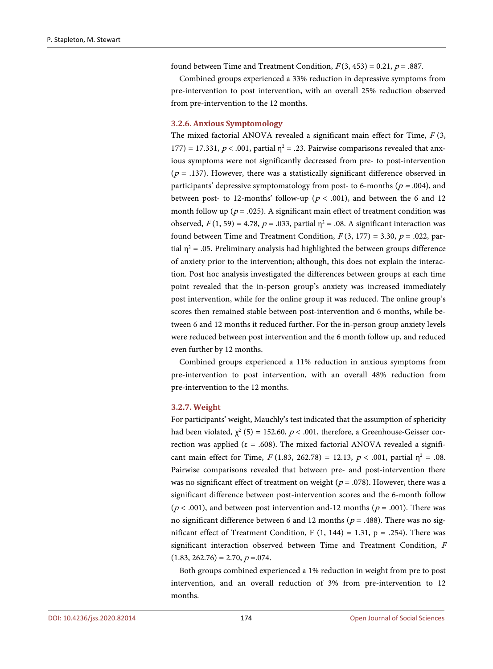found between Time and Treatment Condition,  $F(3, 453) = 0.21$ ,  $p = .887$ .

Combined groups experienced a 33% reduction in depressive symptoms from pre-intervention to post intervention, with an overall 25% reduction observed from pre-intervention to the 12 months.

#### **3.2.6. Anxious Symptomology**

The mixed factorial ANOVA revealed a significant main effect for Time,  $F(3, 1)$ 177) = 17.331,  $p < .001$ , partial  $\eta^2 = .23$ . Pairwise comparisons revealed that anxious symptoms were not significantly decreased from pre- to post-intervention  $(p = .137)$ . However, there was a statistically significant difference observed in participants' depressive symptomatology from post- to 6-months ( $p = .004$ ), and between post- to 12-months' follow-up ( $p < .001$ ), and between the 6 and 12 month follow up ( $p = .025$ ). A significant main effect of treatment condition was observed,  $F(1, 59) = 4.78$ ,  $p = .033$ , partial  $\eta^2 = .08$ . A significant interaction was found between Time and Treatment Condition,  $F(3, 177) = 3.30$ ,  $p = .022$ , partial  $\eta^2$  = .05. Preliminary analysis had highlighted the between groups difference of anxiety prior to the intervention; although, this does not explain the interaction. Post hoc analysis investigated the differences between groups at each time point revealed that the in-person group's anxiety was increased immediately post intervention, while for the online group it was reduced. The online group's scores then remained stable between post-intervention and 6 months, while between 6 and 12 months it reduced further. For the in-person group anxiety levels were reduced between post intervention and the 6 month follow up, and reduced even further by 12 months.

Combined groups experienced a 11% reduction in anxious symptoms from pre-intervention to post intervention, with an overall 48% reduction from pre-intervention to the 12 months.

#### **3.2.7. Weight**

For participants' weight, Mauchly's test indicated that the assumption of sphericity had been violated,  $\chi^2$  (5) = 152.60,  $p < .001$ , therefore, a Greenhouse-Geisser correction was applied ( $\varepsilon = .608$ ). The mixed factorial ANOVA revealed a significant main effect for Time,  $F(1.83, 262.78) = 12.13, p < .001$ , partial  $\eta^2 = .08$ . Pairwise comparisons revealed that between pre- and post-intervention there was no significant effect of treatment on weight ( $p = .078$ ). However, there was a significant difference between post-intervention scores and the 6-month follow ( $p < .001$ ), and between post intervention and-12 months ( $p = .001$ ). There was no significant difference between 6 and 12 months ( $p = .488$ ). There was no significant effect of Treatment Condition, F  $(1, 144) = 1.31$ , p = .254). There was significant interaction observed between Time and Treatment Condition, <sup>F</sup>  $(1.83, 262.76) = 2.70, p = .074.$ 

Both groups combined experienced a 1% reduction in weight from pre to post intervention, and an overall reduction of 3% from pre-intervention to 12 months.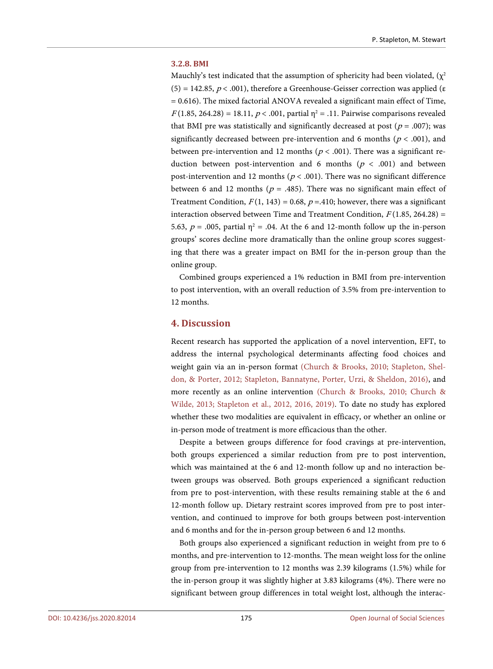#### **3.2.8. BMI**

Mauchly's test indicated that the assumption of sphericity had been violated,  $(\chi^2)$ (5) = 142.85,  $p < .001$ ), therefore a Greenhouse-Geisser correction was applied (ε  $= 0.616$ ). The mixed factorial ANOVA revealed a significant main effect of Time,  $F(1.85, 264.28) = 18.11, p < .001$ , partial  $\eta^2 = .11$ . Pairwise comparisons revealed that BMI pre was statistically and significantly decreased at post ( $p = .007$ ); was significantly decreased between pre-intervention and 6 months ( $p < .001$ ), and between pre-intervention and 12 months ( $p < .001$ ). There was a significant reduction between post-intervention and 6 months ( $p < .001$ ) and between post-intervention and 12 months ( $p < .001$ ). There was no significant difference between 6 and 12 months ( $p = .485$ ). There was no significant main effect of Treatment Condition,  $F(1, 143) = 0.68$ ,  $p = .410$ ; however, there was a significant interaction observed between Time and Treatment Condition,  $F(1.85, 264.28)$  = 5.63,  $p = .005$ , partial  $\eta^2 = .04$ . At the 6 and 12-month follow up the in-person groups' scores decline more dramatically than the online group scores suggesting that there was a greater impact on BMI for the in-person group than the online group.

Combined groups experienced a 1% reduction in BMI from pre-intervention to post intervention, with an overall reduction of 3.5% from pre-intervention to 12 months.

# **4. Discussion**

Recent research has supported the application of a novel intervention, EFT, to address the internal psychological determinants affecting food choices and weight gain via an in-person format [\(Church & Brooks, 2010;](#page-21-0) [Stapleton, Shel](#page-23-6)[don, & Porter,](#page-23-6) 2012; [Stapleton, Bannatyne, Porter, Urzi, & Sheldon, 2016\)](#page-23-1), and more recently as an online intervention [\(Church & Brooks, 2010;](#page-21-0) [Church &](#page-21-2)  [Wilde, 2013;](#page-21-2) [Stapleton et al., 2012,](#page-23-6) 2016, 2019). To date no study has explored whether these two modalities are equivalent in efficacy, or whether an online or in-person mode of treatment is more efficacious than the other.

Despite a between groups difference for food cravings at pre-intervention, both groups experienced a similar reduction from pre to post intervention, which was maintained at the 6 and 12-month follow up and no interaction between groups was observed. Both groups experienced a significant reduction from pre to post-intervention, with these results remaining stable at the 6 and 12-month follow up. Dietary restraint scores improved from pre to post intervention, and continued to improve for both groups between post-intervention and 6 months and for the in-person group between 6 and 12 months.

Both groups also experienced a significant reduction in weight from pre to 6 months, and pre-intervention to 12-months. The mean weight loss for the online group from pre-intervention to 12 months was 2.39 kilograms (1.5%) while for the in-person group it was slightly higher at 3.83 kilograms (4%). There were no significant between group differences in total weight lost, although the interac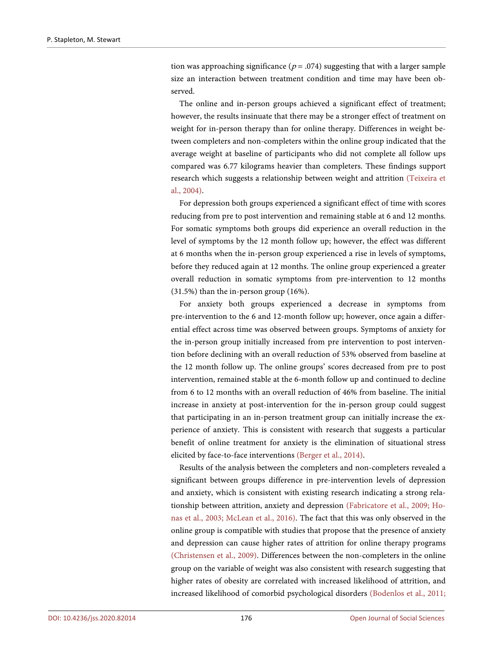tion was approaching significance ( $p = .074$ ) suggesting that with a larger sample size an interaction between treatment condition and time may have been observed.

The online and in-person groups achieved a significant effect of treatment; however, the results insinuate that there may be a stronger effect of treatment on weight for in-person therapy than for online therapy. Differences in weight between completers and non-completers within the online group indicated that the average weight at baseline of participants who did not complete all follow ups compared was 6.77 kilograms heavier than completers. These findings support research which suggests a relationship between weight and attrition [\(Teixeira et](#page-24-8)  [al., 2004\)](#page-24-8).

For depression both groups experienced a significant effect of time with scores reducing from pre to post intervention and remaining stable at 6 and 12 months. For somatic symptoms both groups did experience an overall reduction in the level of symptoms by the 12 month follow up; however, the effect was different at 6 months when the in-person group experienced a rise in levels of symptoms, before they reduced again at 12 months. The online group experienced a greater overall reduction in somatic symptoms from pre-intervention to 12 months (31.5%) than the in-person group (16%).

For anxiety both groups experienced a decrease in symptoms from pre-intervention to the 6 and 12-month follow up; however, once again a differential effect across time was observed between groups. Symptoms of anxiety for the in-person group initially increased from pre intervention to post intervention before declining with an overall reduction of 53% observed from baseline at the 12 month follow up. The online groups' scores decreased from pre to post intervention, remained stable at the 6-month follow up and continued to decline from 6 to 12 months with an overall reduction of 46% from baseline. The initial increase in anxiety at post-intervention for the in-person group could suggest that participating in an in-person treatment group can initially increase the experience of anxiety. This is consistent with research that suggests a particular benefit of online treatment for anxiety is the elimination of situational stress elicited by face-to-face interventions [\(Berger et al., 2014\)](#page-20-2).

Results of the analysis between the completers and non-completers revealed a significant between groups difference in pre-intervention levels of depression and anxiety, which is consistent with existing research indicating a strong relationship between attrition, anxiety and depression [\(Fabricatore et al., 2009;](#page-21-12) [Ho](#page-22-10)[nas et al., 2003;](#page-22-10) [McLean et al., 2016\)](#page-22-11). The fact that this was only observed in the online group is compatible with studies that propose that the presence of anxiety and depression can cause higher rates of attrition for online therapy programs [\(Christensen et al., 2009\)](#page-21-13). Differences between the non-completers in the online group on the variable of weight was also consistent with research suggesting that higher rates of obesity are correlated with increased likelihood of attrition, and increased likelihood of comorbid psychological disorders [\(Bodenlos et al., 2011;](#page-20-3)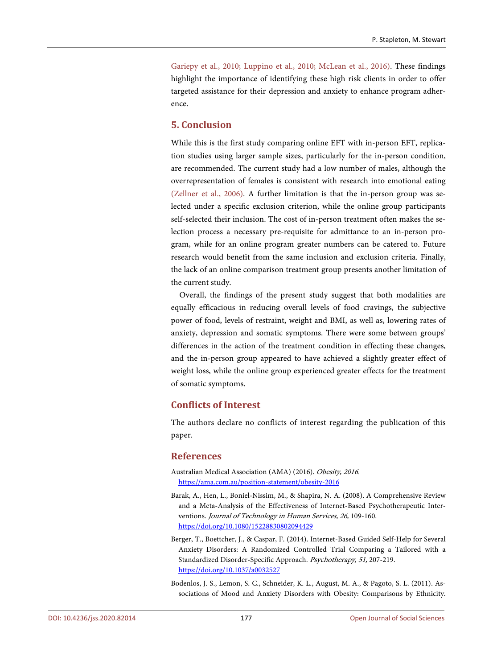[Gariepy et al., 2010;](#page-22-12) [Luppino et al., 2010;](#page-22-13) [McLean et al., 2016\)](#page-22-11). These findings highlight the importance of identifying these high risk clients in order to offer targeted assistance for their depression and anxiety to enhance program adherence.

# **5. Conclusion**

While this is the first study comparing online EFT with in-person EFT, replication studies using larger sample sizes, particularly for the in-person condition, are recommended. The current study had a low number of males, although the overrepresentation of females is consistent with research into emotional eating [\(Zellner et al., 2006\)](#page-24-9). A further limitation is that the in-person group was selected under a specific exclusion criterion, while the online group participants self-selected their inclusion. The cost of in-person treatment often makes the selection process a necessary pre-requisite for admittance to an in-person program, while for an online program greater numbers can be catered to. Future research would benefit from the same inclusion and exclusion criteria. Finally, the lack of an online comparison treatment group presents another limitation of the current study.

Overall, the findings of the present study suggest that both modalities are equally efficacious in reducing overall levels of food cravings, the subjective power of food, levels of restraint, weight and BMI, as well as, lowering rates of anxiety, depression and somatic symptoms. There were some between groups' differences in the action of the treatment condition in effecting these changes, and the in-person group appeared to have achieved a slightly greater effect of weight loss, while the online group experienced greater effects for the treatment of somatic symptoms.

# **Conflicts of Interest**

The authors declare no conflicts of interest regarding the publication of this paper.

## **References**

- <span id="page-20-0"></span>Australian Medical Association (AMA) (2016). Obesity, 2016. <https://ama.com.au/position-statement/obesity-2016>
- <span id="page-20-1"></span>Barak, A., Hen, L., Boniel-Nissim, M., & Shapira, N. A. (2008). A Comprehensive Review and a Meta-Analysis of the Effectiveness of Internet-Based Psychotherapeutic Interventions. Journal of Technology in Human Services, 26, 109-160. <https://doi.org/10.1080/15228830802094429>
- <span id="page-20-2"></span>Berger, T., Boettcher, J., & Caspar, F. (2014). Internet-Based Guided Self-Help for Several Anxiety Disorders: A Randomized Controlled Trial Comparing a Tailored with a Standardized Disorder-Specific Approach. Psychotherapy, 51, 207-219. <https://doi.org/10.1037/a0032527>
- <span id="page-20-3"></span>Bodenlos, J. S., Lemon, S. C., Schneider, K. L., August, M. A., & Pagoto, S. L. (2011). Associations of Mood and Anxiety Disorders with Obesity: Comparisons by Ethnicity.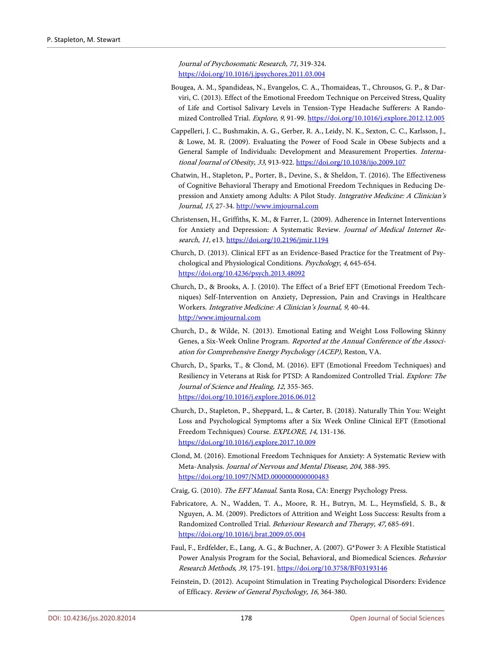Journal of Psychosomatic Research, 71, 319-324. <https://doi.org/10.1016/j.jpsychores.2011.03.004>

- <span id="page-21-7"></span>Bougea, A. M., Spandideas, N., Evangelos, C. A., Thomaideas, T., Chrousos, G. P., & Darviri, C. (2013). Effect of the Emotional Freedom Technique on Perceived Stress, Quality of Life and Cortisol Salivary Levels in Tension-Type Headache Sufferers: A Randomized Controlled Trial. Explore, 9, 91-99[. https://doi.org/10.1016/j.explore.2012.12.005](https://doi.org/10.1016/j.explore.2012.12.005)
- <span id="page-21-3"></span>Cappelleri, J. C., Bushmakin, A. G., Gerber, R. A., Leidy, N. K., Sexton, C. C., Karlsson, J., & Lowe, M. R. (2009). Evaluating the Power of Food Scale in Obese Subjects and a General Sample of Individuals: Development and Measurement Properties. International Journal of Obesity, 33, 913-922.<https://doi.org/10.1038/ijo.2009.107>
- <span id="page-21-8"></span>Chatwin, H., Stapleton, P., Porter, B., Devine, S., & Sheldon, T. (2016). The Effectiveness of Cognitive Behavioral Therapy and Emotional Freedom Techniques in Reducing Depression and Anxiety among Adults: A Pilot Study. Integrative Medicine: A Clinician's Journal, 15, 27-34[. http://www.imjournal.com](http://www.imjournal.com/)
- <span id="page-21-13"></span>Christensen, H., Griffiths, K. M., & Farrer, L. (2009). Adherence in Internet Interventions for Anxiety and Depression: A Systematic Review. Journal of Medical Internet Re-search, 11, e13[. https://doi.org/10.2196/jmir.1194](https://doi.org/10.2196/jmir.1194)
- <span id="page-21-6"></span>Church, D. (2013). Clinical EFT as an Evidence-Based Practice for the Treatment of Psychological and Physiological Conditions. Psychology, 4, 645-654. <https://doi.org/10.4236/psych.2013.48092>
- <span id="page-21-0"></span>Church, D., & Brooks, A. J. (2010). The Effect of a Brief EFT (Emotional Freedom Techniques) Self-Intervention on Anxiety, Depression, Pain and Cravings in Healthcare Workers. Integrative Medicine: A Clinician's Journal, 9, 40-44. [http://www.imjournal.com](http://www.imjournal.com/)
- <span id="page-21-2"></span>Church, D., & Wilde, N. (2013). Emotional Eating and Weight Loss Following Skinny Genes, a Six-Week Online Program. Reported at the Annual Conference of the Association for Comprehensive Energy Psychology (ACEP), Reston, VA.
- <span id="page-21-9"></span>Church, D., Sparks, T., & Clond, M. (2016). EFT (Emotional Freedom Techniques) and Resiliency in Veterans at Risk for PTSD: A Randomized Controlled Trial. Explore: The Journal of Science and Healing, 12, 355-365. <https://doi.org/10.1016/j.explore.2016.06.012>
- <span id="page-21-1"></span>Church, D., Stapleton, P., Sheppard, L., & Carter, B. (2018). Naturally Thin You: Weight Loss and Psychological Symptoms after a Six Week Online Clinical EFT (Emotional Freedom Techniques) Course. EXPLORE, 14, 131-136. <https://doi.org/10.1016/j.explore.2017.10.009>
- <span id="page-21-10"></span>Clond, M. (2016). Emotional Freedom Techniques for Anxiety: A Systematic Review with Meta-Analysis. Journal of Nervous and Mental Disease, 204, 388-395. <https://doi.org/10.1097/NMD.0000000000000483>
- Craig, G. (2010). The EFT Manual. Santa Rosa, CA: Energy Psychology Press.
- <span id="page-21-12"></span><span id="page-21-5"></span>Fabricatore, A. N., Wadden, T. A., Moore, R. H., Butryn, M. L., Heymsfield, S. B., & Nguyen, A. M. (2009). Predictors of Attrition and Weight Loss Success: Results from a Randomized Controlled Trial. Behaviour Research and Therapy, 47, 685-691. <https://doi.org/10.1016/j.brat.2009.05.004>
- <span id="page-21-11"></span>Faul, F., Erdfelder, E., Lang, A. G., & Buchner, A. (2007). G\*Power 3: A Flexible Statistical Power Analysis Program for the Social, Behavioral, and Biomedical Sciences. Behavior Research Methods, 39, 175-191.<https://doi.org/10.3758/BF03193146>
- <span id="page-21-4"></span>Feinstein, D. (2012). Acupoint Stimulation in Treating Psychological Disorders: Evidence of Efficacy. Review of General Psychology, 16, 364-380.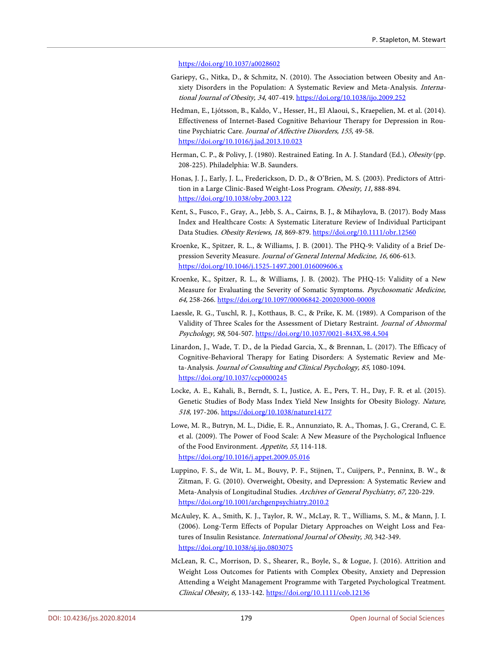#### <https://doi.org/10.1037/a0028602>

- <span id="page-22-12"></span>Gariepy, G., Nitka, D., & Schmitz, N. (2010). The Association between Obesity and Anxiety Disorders in the Population: A Systematic Review and Meta-Analysis. International Journal of Obesity, 34, 407-419.<https://doi.org/10.1038/ijo.2009.252>
- <span id="page-22-4"></span>Hedman, E., Ljótsson, B., Kaldo, V., Hesser, H., El Alaoui, S., Kraepelien, M. et al. (2014). Effectiveness of Internet-Based Cognitive Behaviour Therapy for Depression in Routine Psychiatric Care. Journal of Affective Disorders, 155, 49-58. <https://doi.org/10.1016/j.jad.2013.10.023>
- <span id="page-22-6"></span>Herman, C. P., & Polivy, J. (1980). Restrained Eating. In A. J. Standard (Ed.), Obesity (pp. 208-225). Philadelphia: W.B. Saunders.
- <span id="page-22-10"></span>Honas, J. J., Early, J. L., Frederickson, D. D., & O'Brien, M. S. (2003). Predictors of Attrition in a Large Clinic-Based Weight-Loss Program. Obesity, 11, 888-894. <https://doi.org/10.1038/oby.2003.122>
- <span id="page-22-0"></span>Kent, S., Fusco, F., Gray, A., Jebb, S. A., Cairns, B. J., & Mihaylova, B. (2017). Body Mass Index and Healthcare Costs: A Systematic Literature Review of Individual Participant Data Studies. Obesity Reviews, 18, 869-879.<https://doi.org/10.1111/obr.12560>
- <span id="page-22-8"></span>Kroenke, K., Spitzer, R. L., & Williams, J. B. (2001). The PHQ-9: Validity of a Brief Depression Severity Measure. Journal of General Internal Medicine, 16, 606-613. <https://doi.org/10.1046/j.1525-1497.2001.016009606.x>
- <span id="page-22-9"></span>Kroenke, K., Spitzer, R. L., & Williams, J. B. (2002). The PHQ-15: Validity of a New Measure for Evaluating the Severity of Somatic Symptoms. Psychosomatic Medicine, 64, 258-266. <https://doi.org/10.1097/00006842-200203000-00008>
- <span id="page-22-7"></span>Laessle, R. G., Tuschl, R. J., Kotthaus, B. C., & Prike, K. M. (1989). A Comparison of the Validity of Three Scales for the Assessment of Dietary Restraint. Journal of Abnormal Psychology, 98, 504-507[. https://doi.org/10.1037/0021-843X.98.4.504](https://doi.org/10.1037/0021-843X.98.4.504)
- <span id="page-22-3"></span>Linardon, J., Wade, T. D., de la Piedad Garcia, X., & Brennan, L. (2017). The Efficacy of Cognitive-Behavioral Therapy for Eating Disorders: A Systematic Review and Meta-Analysis. Journal of Consulting and Clinical Psychology, 85, 1080-1094. <https://doi.org/10.1037/ccp0000245>
- <span id="page-22-1"></span>Locke, A. E., Kahali, B., Berndt, S. I., Justice, A. E., Pers, T. H., Day, F. R. et al. (2015). Genetic Studies of Body Mass Index Yield New Insights for Obesity Biology. Nature, 518, 197-206.<https://doi.org/10.1038/nature14177>
- <span id="page-22-5"></span>Lowe, M. R., Butryn, M. L., Didie, E. R., Annunziato, R. A., Thomas, J. G., Crerand, C. E. et al. (2009). The Power of Food Scale: A New Measure of the Psychological Influence of the Food Environment. Appetite, 53, 114-118. <https://doi.org/10.1016/j.appet.2009.05.016>
- <span id="page-22-13"></span>Luppino, F. S., de Wit, L. M., Bouvy, P. F., Stijnen, T., Cuijpers, P., Penninx, B. W., & Zitman, F. G. (2010). Overweight, Obesity, and Depression: A Systematic Review and Meta-Analysis of Longitudinal Studies. Archives of General Psychiatry, 67, 220-229. <https://doi.org/10.1001/archgenpsychiatry.2010.2>
- <span id="page-22-2"></span>McAuley, K. A., Smith, K. J., Taylor, R. W., McLay, R. T., Williams, S. M., & Mann, J. I. (2006). Long-Term Effects of Popular Dietary Approaches on Weight Loss and Features of Insulin Resistance. International Journal of Obesity, 30, 342-349. <https://doi.org/10.1038/sj.ijo.0803075>
- <span id="page-22-11"></span>McLean, R. C., Morrison, D. S., Shearer, R., Boyle, S., & Logue, J. (2016). Attrition and Weight Loss Outcomes for Patients with Complex Obesity, Anxiety and Depression Attending a Weight Management Programme with Targeted Psychological Treatment. Clinical Obesity, 6, 133-142[. https://doi.org/10.1111/cob.12136](https://doi.org/10.1111/cob.12136)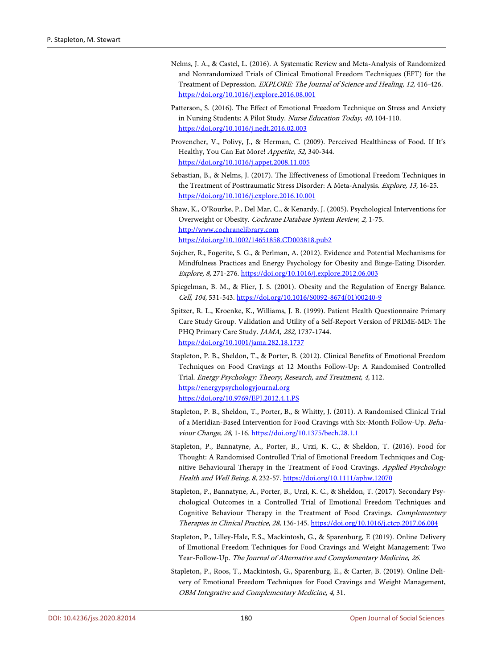- <span id="page-23-8"></span>Nelms, J. A., & Castel, L. (2016). A Systematic Review and Meta-Analysis of Randomized and Nonrandomized Trials of Clinical Emotional Freedom Techniques (EFT) for the Treatment of Depression. EXPLORE: The Journal of Science and Healing, 12, 416-426. <https://doi.org/10.1016/j.explore.2016.08.001>
- <span id="page-23-5"></span>Patterson, S. (2016). The Effect of Emotional Freedom Technique on Stress and Anxiety in Nursing Students: A Pilot Study. Nurse Education Today, 40, 104-110. <https://doi.org/10.1016/j.nedt.2016.02.003>
- <span id="page-23-12"></span>Provencher, V., Polivy, J., & Herman, C. (2009). Perceived Healthiness of Food. If It's Healthy, You Can Eat More! Appetite, 52, 340-344. <https://doi.org/10.1016/j.appet.2008.11.005>
- <span id="page-23-7"></span>Sebastian, B., & Nelms, J. (2017). The Effectiveness of Emotional Freedom Techniques in the Treatment of Posttraumatic Stress Disorder: A Meta-Analysis. Explore, 13, 16-25. <https://doi.org/10.1016/j.explore.2016.10.001>
- <span id="page-23-3"></span>Shaw, K., O'Rourke, P., Del Mar, C., & Kenardy, J. (2005). Psychological Interventions for Overweight or Obesity. Cochrane Database System Review, 2, 1-75. [http://www.cochranelibrary.com](http://www.cochranelibrary.com/) <https://doi.org/10.1002/14651858.CD003818.pub2>
- <span id="page-23-4"></span>Sojcher, R., Fogerite, S. G., & Perlman, A. (2012). Evidence and Potential Mechanisms for Mindfulness Practices and Energy Psychology for Obesity and Binge-Eating Disorder. Explore, 8, 271-276[. https://doi.org/10.1016/j.explore.2012.06.003](https://doi.org/10.1016/j.explore.2012.06.003)
- <span id="page-23-2"></span>Spiegelman, B. M., & Flier, J. S. (2001). Obesity and the Regulation of Energy Balance. Cell, 104, 531-543. [https://doi.org/10.1016/S0092-8674\(01\)00240-9](https://doi.org/10.1016/S0092-8674(01)00240-9)
- <span id="page-23-11"></span>Spitzer, R. L., Kroenke, K., Williams, J. B. (1999). Patient Health Questionnaire Primary Care Study Group. Validation and Utility of a Self-Report Version of PRIME-MD: The PHQ Primary Care Study. JAMA, 282, 1737-1744. <https://doi.org/10.1001/jama.282.18.1737>
- <span id="page-23-6"></span>Stapleton, P. B., Sheldon, T., & Porter, B. (2012). Clinical Benefits of Emotional Freedom Techniques on Food Cravings at 12 Months Follow-Up: A Randomised Controlled Trial. Energy Psychology: Theory, Research, and Treatment, 4, 112. [https://energypsychologyjournal.org](https://energypsychologyjournal.org/) <https://doi.org/10.9769/EPJ.2012.4.1.PS>
- <span id="page-23-0"></span>Stapleton, P. B., Sheldon, T., Porter, B., & Whitty, J. (2011). A Randomised Clinical Trial of a Meridian-Based Intervention for Food Cravings with Six-Month Follow-Up. Behaviour Change, 28, 1-16.<https://doi.org/10.1375/bech.28.1.1>
- <span id="page-23-1"></span>Stapleton, P., Bannatyne, A., Porter, B., Urzi, K. C., & Sheldon, T. (2016). Food for Thought: A Randomised Controlled Trial of Emotional Freedom Techniques and Cognitive Behavioural Therapy in the Treatment of Food Cravings. Applied Psychology: Health and Well Being, 8, 232-57. <https://doi.org/10.1111/aphw.12070>
- <span id="page-23-9"></span>Stapleton, P., Bannatyne, A., Porter, B., Urzi, K. C., & Sheldon, T. (2017). Secondary Psychological Outcomes in a Controlled Trial of Emotional Freedom Techniques and Cognitive Behaviour Therapy in the Treatment of Food Cravings. Complementary Therapies in Clinical Practice, 28, 136-145. <https://doi.org/10.1016/j.ctcp.2017.06.004>
- <span id="page-23-10"></span>Stapleton, P., Lilley-Hale, E.S., Mackintosh, G., & Sparenburg, E (2019). Online Delivery of Emotional Freedom Techniques for Food Cravings and Weight Management: Two Year-Follow-Up. The Journal of Alternative and Complementary Medicine, 26.
- Stapleton, P., Roos, T., Mackintosh, G., Sparenburg, E., & Carter, B. (2019). Online Delivery of Emotional Freedom Techniques for Food Cravings and Weight Management, OBM Integrative and Complementary Medicine, 4, 31.